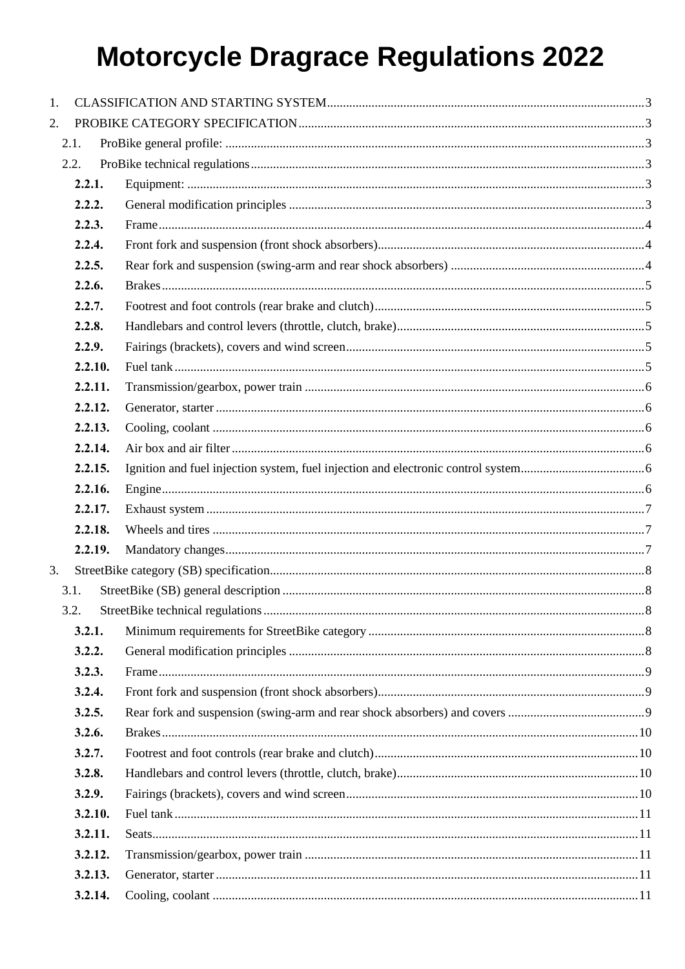| 1. |         |  |
|----|---------|--|
| 2. |         |  |
|    | 2.1.    |  |
|    | 2.2.    |  |
|    | 2.2.1.  |  |
|    | 2.2.2.  |  |
|    | 2.2.3.  |  |
|    | 2.2.4.  |  |
|    | 2.2.5.  |  |
|    | 2.2.6.  |  |
|    | 2.2.7.  |  |
|    | 2.2.8.  |  |
|    | 2.2.9.  |  |
|    | 2.2.10. |  |
|    | 2.2.11. |  |
|    | 2.2.12. |  |
|    | 2.2.13. |  |
|    | 2.2.14. |  |
|    | 2.2.15. |  |
|    | 2.2.16. |  |
|    | 2.2.17. |  |
|    | 2.2.18. |  |
|    | 2.2.19. |  |
| 3. |         |  |
|    | 3.1.    |  |
|    | 3.2.    |  |
|    | 3.2.1.  |  |
|    | 3.2.2.  |  |
|    | 3.2.3.  |  |
|    | 3.2.4.  |  |
|    | 3.2.5.  |  |
|    | 3.2.6.  |  |
|    | 3.2.7.  |  |
|    | 3.2.8.  |  |
|    | 3.2.9.  |  |
|    | 3.2.10. |  |
|    | 3.2.11. |  |
|    | 3.2.12. |  |
|    | 3.2.13. |  |
|    | 3.2.14. |  |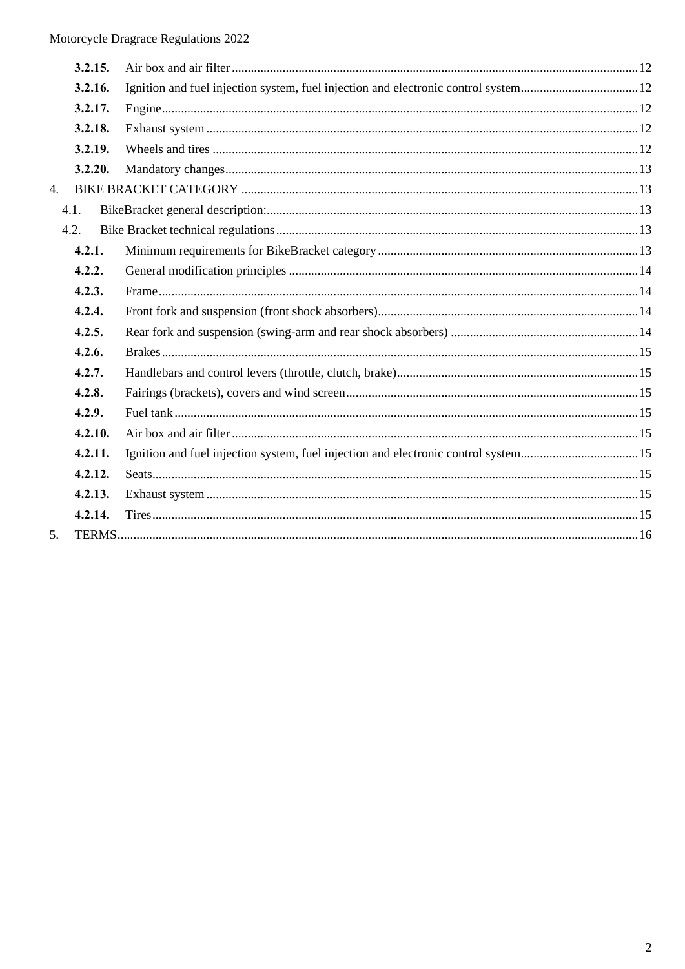|    | 3.2.15. |                                                                                    |  |
|----|---------|------------------------------------------------------------------------------------|--|
|    | 3.2.16. |                                                                                    |  |
|    | 3.2.17. |                                                                                    |  |
|    | 3.2.18. |                                                                                    |  |
|    | 3.2.19. |                                                                                    |  |
|    | 3.2.20. |                                                                                    |  |
| 4. |         |                                                                                    |  |
|    | 4.1.    |                                                                                    |  |
|    | 4.2.    |                                                                                    |  |
|    | 4.2.1.  |                                                                                    |  |
|    | 4.2.2.  |                                                                                    |  |
|    | 4.2.3.  |                                                                                    |  |
|    | 4.2.4.  |                                                                                    |  |
|    | 4.2.5.  |                                                                                    |  |
|    | 4.2.6.  |                                                                                    |  |
|    | 4.2.7.  |                                                                                    |  |
|    | 4.2.8.  |                                                                                    |  |
|    | 4.2.9.  |                                                                                    |  |
|    | 4.2.10. |                                                                                    |  |
|    | 4.2.11. | Ignition and fuel injection system, fuel injection and electronic control system15 |  |
|    | 4.2.12. |                                                                                    |  |
|    | 4.2.13. |                                                                                    |  |
|    | 4.2.14. |                                                                                    |  |
| 5. |         |                                                                                    |  |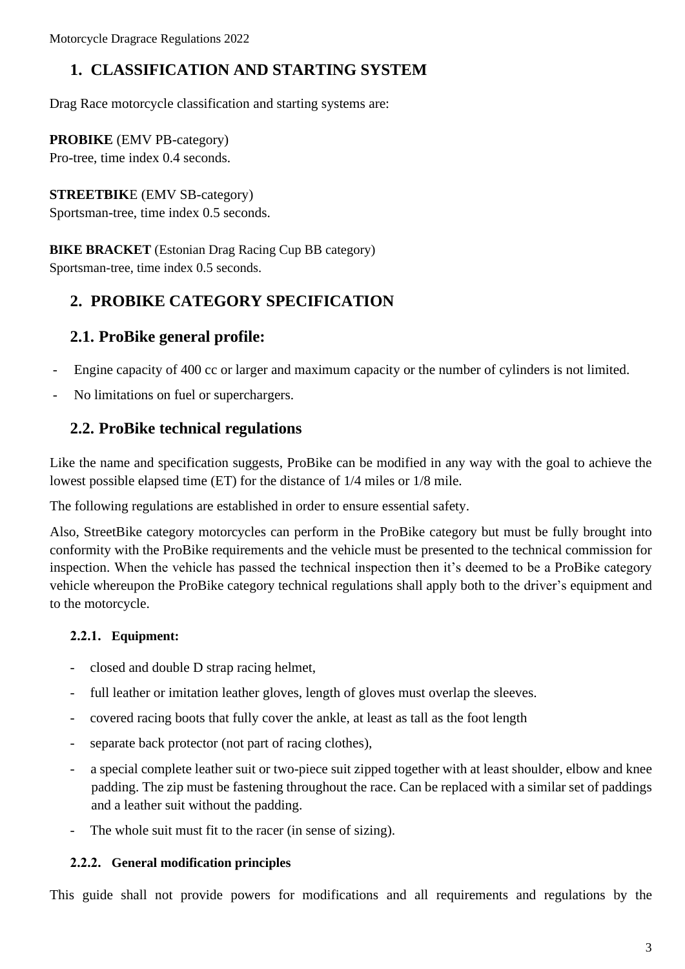# **1. CLASSIFICATION AND STARTING SYSTEM**

Drag Race motorcycle classification and starting systems are:

**PROBIKE** (EMV PB-category) Pro-tree, time index 0.4 seconds.

#### **STREETBIK**E (EMV SB-category)

Sportsman-tree, time index 0.5 seconds.

**BIKE BRACKET** (Estonian Drag Racing Cup BB category)

Sportsman-tree, time index 0.5 seconds.

# **2. PROBIKE CATEGORY SPECIFICATION**

## **2.1. ProBike general profile:**

- Engine capacity of 400 cc or larger and maximum capacity or the number of cylinders is not limited.
- No limitations on fuel or superchargers.

## **2.2. ProBike technical regulations**

Like the name and specification suggests, ProBike can be modified in any way with the goal to achieve the lowest possible elapsed time (ET) for the distance of 1/4 miles or 1/8 mile.

The following regulations are established in order to ensure essential safety.

Also, StreetBike category motorcycles can perform in the ProBike category but must be fully brought into conformity with the ProBike requirements and the vehicle must be presented to the technical commission for inspection. When the vehicle has passed the technical inspection then it's deemed to be a ProBike category vehicle whereupon the ProBike category technical regulations shall apply both to the driver's equipment and to the motorcycle.

### **2.2.1. Equipment:**

- closed and double D strap racing helmet,
- full leather or imitation leather gloves, length of gloves must overlap the sleeves.
- covered racing boots that fully cover the ankle, at least as tall as the foot length
- separate back protector (not part of racing clothes),
- a special complete leather suit or two-piece suit zipped together with at least shoulder, elbow and knee padding. The zip must be fastening throughout the race. Can be replaced with a similar set of paddings and a leather suit without the padding.
- The whole suit must fit to the racer (in sense of sizing).

#### **2.2.2. General modification principles**

This guide shall not provide powers for modifications and all requirements and regulations by the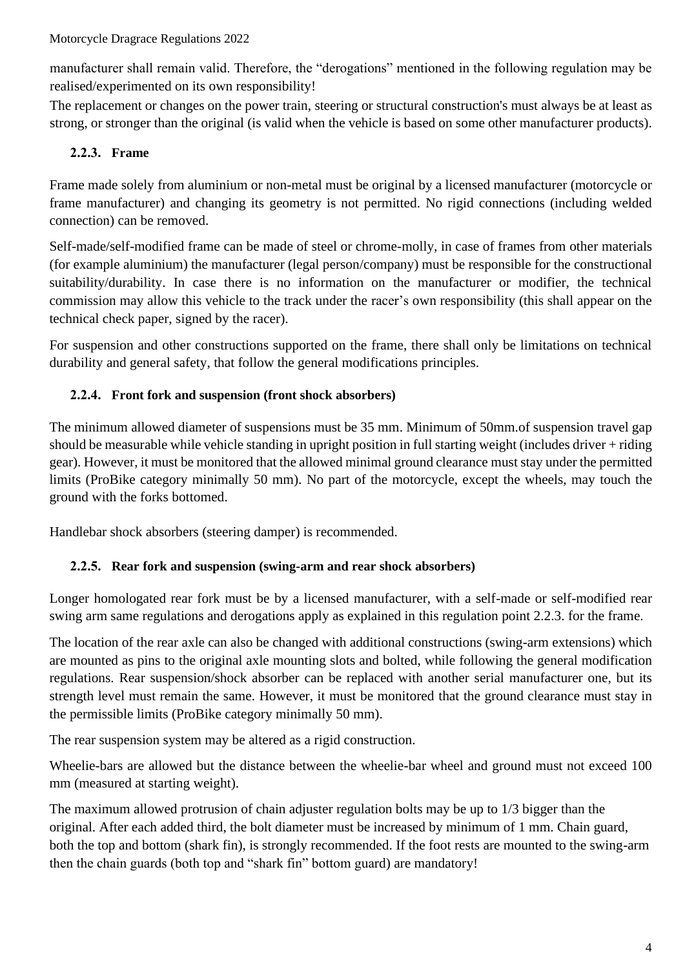manufacturer shall remain valid. Therefore, the "derogations" mentioned in the following regulation may be realised/experimented on its own responsibility!

The replacement or changes on the power train, steering or structural construction's must always be at least as strong, or stronger than the original (is valid when the vehicle is based on some other manufacturer products).

## **2.2.3. Frame**

Frame made solely from aluminium or non-metal must be original by a licensed manufacturer (motorcycle or frame manufacturer) and changing its geometry is not permitted. No rigid connections (including welded connection) can be removed.

Self-made/self-modified frame can be made of steel or chrome-molly, in case of frames from other materials (for example aluminium) the manufacturer (legal person/company) must be responsible for the constructional suitability/durability. In case there is no information on the manufacturer or modifier, the technical commission may allow this vehicle to the track under the racer's own responsibility (this shall appear on the technical check paper, signed by the racer).

For suspension and other constructions supported on the frame, there shall only be limitations on technical durability and general safety, that follow the general modifications principles.

## **2.2.4. Front fork and suspension (front shock absorbers)**

The minimum allowed diameter of suspensions must be 35 mm. Minimum of 50mm.of suspension travel gap should be measurable while vehicle standing in upright position in full starting weight (includes driver + riding gear). However, it must be monitored that the allowed minimal ground clearance must stay under the permitted limits (ProBike category minimally 50 mm). No part of the motorcycle, except the wheels, may touch the ground with the forks bottomed.

Handlebar shock absorbers (steering damper) is recommended.

### **2.2.5. Rear fork and suspension (swing-arm and rear shock absorbers)**

Longer homologated rear fork must be by a licensed manufacturer, with a self-made or self-modified rear swing arm same regulations and derogations apply as explained in this regulation point 2.2.3. for the frame.

The location of the rear axle can also be changed with additional constructions (swing-arm extensions) which are mounted as pins to the original axle mounting slots and bolted, while following the general modification regulations. Rear suspension/shock absorber can be replaced with another serial manufacturer one, but its strength level must remain the same. However, it must be monitored that the ground clearance must stay in the permissible limits (ProBike category minimally 50 mm).

The rear suspension system may be altered as a rigid construction.

Wheelie-bars are allowed but the distance between the wheelie-bar wheel and ground must not exceed 100 mm (measured at starting weight).

The maximum allowed protrusion of chain adjuster regulation bolts may be up to 1/3 bigger than the original. After each added third, the bolt diameter must be increased by minimum of 1 mm. Chain guard, both the top and bottom (shark fin), is strongly recommended. If the foot rests are mounted to the swing-arm then the chain guards (both top and "shark fin" bottom guard) are mandatory!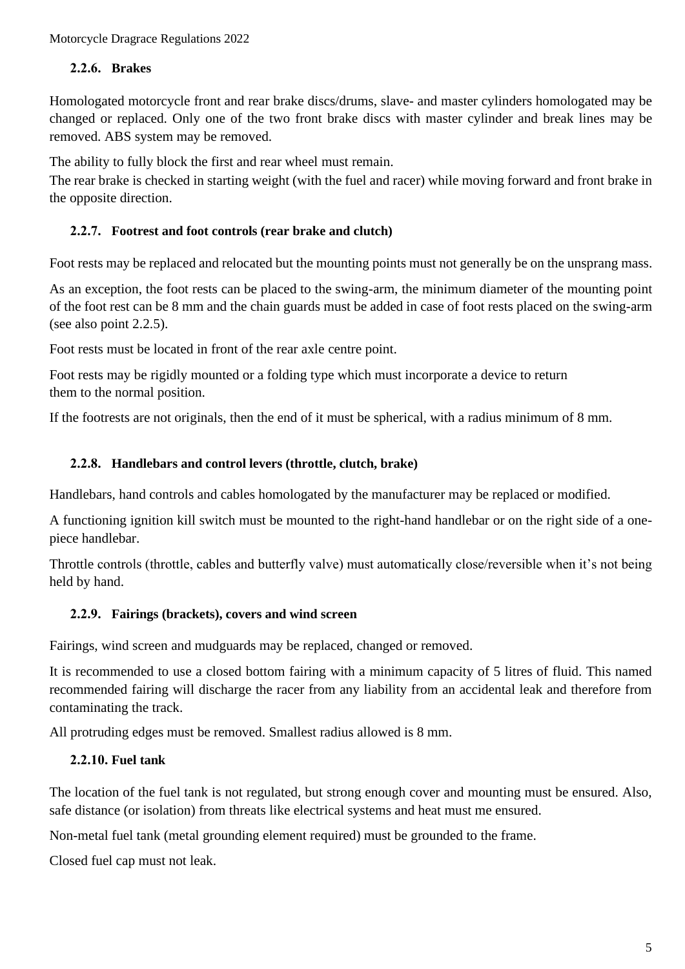#### **2.2.6. Brakes**

Homologated motorcycle front and rear brake discs/drums, slave- and master cylinders homologated may be changed or replaced. Only one of the two front brake discs with master cylinder and break lines may be removed. ABS system may be removed.

The ability to fully block the first and rear wheel must remain.

The rear brake is checked in starting weight (with the fuel and racer) while moving forward and front brake in the opposite direction.

#### **2.2.7. Footrest and foot controls (rear brake and clutch)**

Foot rests may be replaced and relocated but the mounting points must not generally be on the unsprang mass.

As an exception, the foot rests can be placed to the swing-arm, the minimum diameter of the mounting point of the foot rest can be 8 mm and the chain guards must be added in case of foot rests placed on the swing-arm (see also point 2.2.5).

Foot rests must be located in front of the rear axle centre point.

Foot rests may be rigidly mounted or a folding type which must incorporate a device to return them to the normal position.

If the footrests are not originals, then the end of it must be spherical, with a radius minimum of 8 mm.

#### **2.2.8. Handlebars and control levers (throttle, clutch, brake)**

Handlebars, hand controls and cables homologated by the manufacturer may be replaced or modified.

A functioning ignition kill switch must be mounted to the right-hand handlebar or on the right side of a onepiece handlebar.

Throttle controls (throttle, cables and butterfly valve) must automatically close/reversible when it's not being held by hand.

#### **2.2.9. Fairings (brackets), covers and wind screen**

Fairings, wind screen and mudguards may be replaced, changed or removed.

It is recommended to use a closed bottom fairing with a minimum capacity of 5 litres of fluid. This named recommended fairing will discharge the racer from any liability from an accidental leak and therefore from contaminating the track.

All protruding edges must be removed. Smallest radius allowed is 8 mm.

#### **2.2.10. Fuel tank**

The location of the fuel tank is not regulated, but strong enough cover and mounting must be ensured. Also, safe distance (or isolation) from threats like electrical systems and heat must me ensured.

Non-metal fuel tank (metal grounding element required) must be grounded to the frame.

Closed fuel cap must not leak.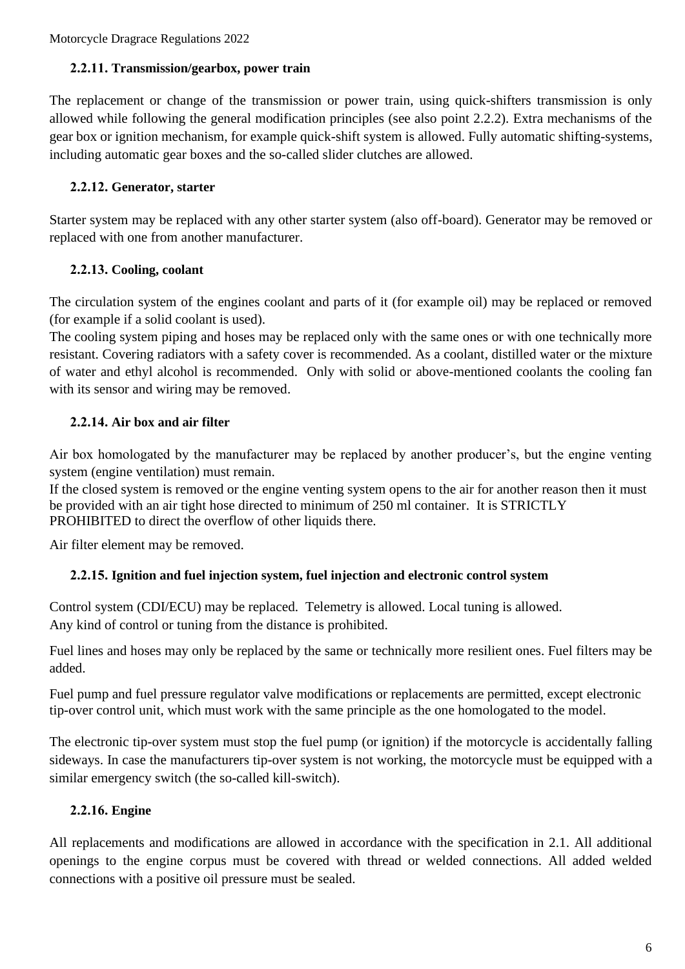#### **2.2.11. Transmission/gearbox, power train**

The replacement or change of the transmission or power train, using quick-shifters transmission is only allowed while following the general modification principles (see also point 2.2.2). Extra mechanisms of the gear box or ignition mechanism, for example quick-shift system is allowed. Fully automatic shifting-systems, including automatic gear boxes and the so-called slider clutches are allowed.

#### **2.2.12. Generator, starter**

Starter system may be replaced with any other starter system (also off-board). Generator may be removed or replaced with one from another manufacturer.

#### **2.2.13. Cooling, coolant**

The circulation system of the engines coolant and parts of it (for example oil) may be replaced or removed (for example if a solid coolant is used).

The cooling system piping and hoses may be replaced only with the same ones or with one technically more resistant. Covering radiators with a safety cover is recommended. As a coolant, distilled water or the mixture of water and ethyl alcohol is recommended. Only with solid or above-mentioned coolants the cooling fan with its sensor and wiring may be removed.

### **2.2.14. Air box and air filter**

Air box homologated by the manufacturer may be replaced by another producer's, but the engine venting system (engine ventilation) must remain.

If the closed system is removed or the engine venting system opens to the air for another reason then it must be provided with an air tight hose directed to minimum of 250 ml container. It is STRICTLY PROHIBITED to direct the overflow of other liquids there.

Air filter element may be removed.

### **2.2.15. Ignition and fuel injection system, fuel injection and electronic control system**

Control system (CDI/ECU) may be replaced. Telemetry is allowed. Local tuning is allowed. Any kind of control or tuning from the distance is prohibited.

Fuel lines and hoses may only be replaced by the same or technically more resilient ones. Fuel filters may be added.

Fuel pump and fuel pressure regulator valve modifications or replacements are permitted, except electronic tip-over control unit, which must work with the same principle as the one homologated to the model.

The electronic tip-over system must stop the fuel pump (or ignition) if the motorcycle is accidentally falling sideways. In case the manufacturers tip-over system is not working, the motorcycle must be equipped with a similar emergency switch (the so-called kill-switch).

### **2.2.16. Engine**

All replacements and modifications are allowed in accordance with the specification in 2.1. All additional openings to the engine corpus must be covered with thread or welded connections. All added welded connections with a positive oil pressure must be sealed.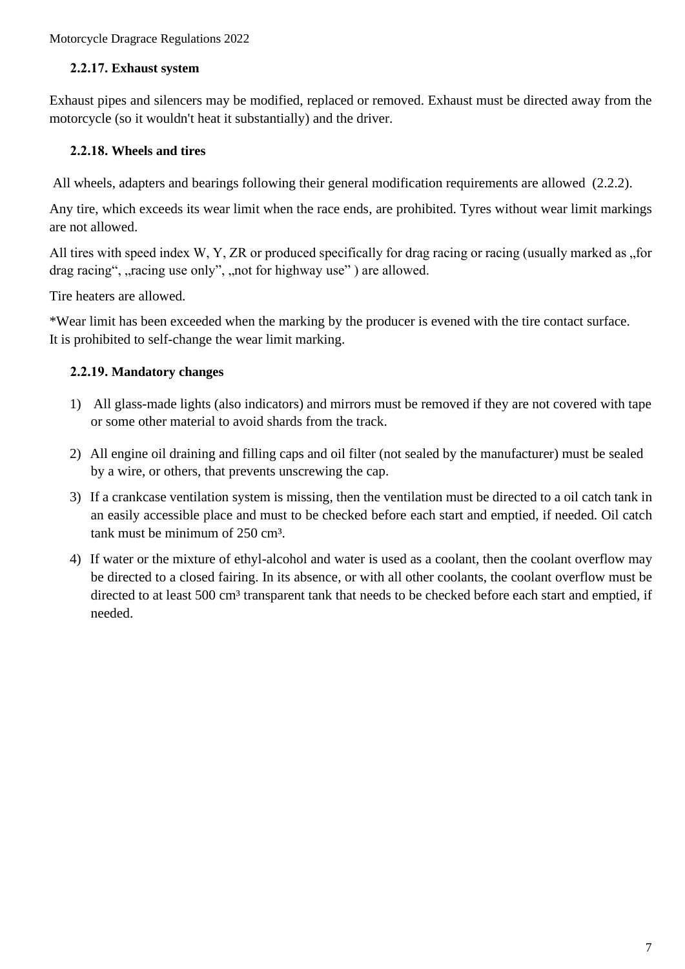#### **2.2.17. Exhaust system**

Exhaust pipes and silencers may be modified, replaced or removed. Exhaust must be directed away from the motorcycle (so it wouldn't heat it substantially) and the driver.

#### **2.2.18. Wheels and tires**

All wheels, adapters and bearings following their general modification requirements are allowed (2.2.2).

Any tire, which exceeds its wear limit when the race ends, are prohibited. Tyres without wear limit markings are not allowed.

All tires with speed index W, Y, ZR or produced specifically for drag racing or racing (usually marked as "for drag racing", "racing use only", "not for highway use") are allowed.

Tire heaters are allowed.

\*Wear limit has been exceeded when the marking by the producer is evened with the tire contact surface. It is prohibited to self-change the wear limit marking.

### **2.2.19. Mandatory changes**

- 1) All glass-made lights (also indicators) and mirrors must be removed if they are not covered with tape or some other material to avoid shards from the track.
- 2) All engine oil draining and filling caps and oil filter (not sealed by the manufacturer) must be sealed by a wire, or others, that prevents unscrewing the cap.
- 3) If a crankcase ventilation system is missing, then the ventilation must be directed to a oil catch tank in an easily accessible place and must to be checked before each start and emptied, if needed. Oil catch tank must be minimum of 250 cm<sup>3</sup>.
- 4) If water or the mixture of ethyl-alcohol and water is used as a coolant, then the coolant overflow may be directed to a closed fairing. In its absence, or with all other coolants, the coolant overflow must be directed to at least 500 cm<sup>3</sup> transparent tank that needs to be checked before each start and emptied, if needed.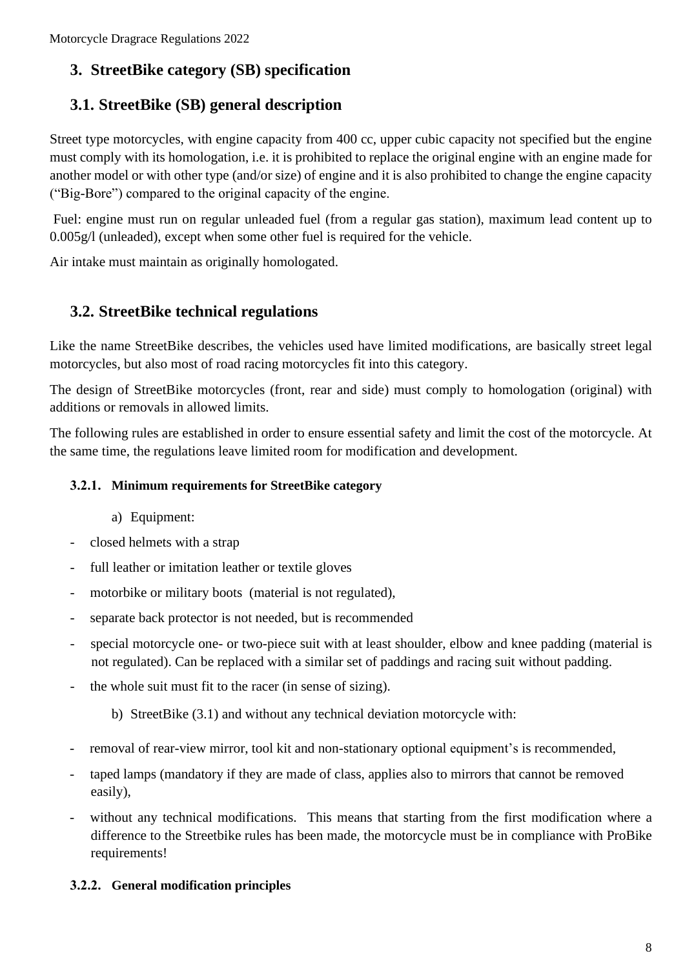# **3. StreetBike category (SB) specification**

# **3.1. StreetBike (SB) general description**

Street type motorcycles, with engine capacity from 400 cc, upper cubic capacity not specified but the engine must comply with its homologation, i.e. it is prohibited to replace the original engine with an engine made for another model or with other type (and/or size) of engine and it is also prohibited to change the engine capacity ("Big-Bore") compared to the original capacity of the engine.

Fuel: engine must run on regular unleaded fuel (from a regular gas station), maximum lead content up to 0.005g/l (unleaded), except when some other fuel is required for the vehicle.

Air intake must maintain as originally homologated.

## **3.2. StreetBike technical regulations**

Like the name StreetBike describes, the vehicles used have limited modifications, are basically street legal motorcycles, but also most of road racing motorcycles fit into this category.

The design of StreetBike motorcycles (front, rear and side) must comply to homologation (original) with additions or removals in allowed limits.

The following rules are established in order to ensure essential safety and limit the cost of the motorcycle. At the same time, the regulations leave limited room for modification and development.

### **3.2.1. Minimum requirements for StreetBike category**

- a) Equipment:
- closed helmets with a strap
- full leather or imitation leather or textile gloves
- motorbike or military boots (material is not regulated),
- separate back protector is not needed, but is recommended
- special motorcycle one- or two-piece suit with at least shoulder, elbow and knee padding (material is not regulated). Can be replaced with a similar set of paddings and racing suit without padding.
- the whole suit must fit to the racer (in sense of sizing).
	- b) StreetBike (3.1) and without any technical deviation motorcycle with:
- removal of rear-view mirror, tool kit and non-stationary optional equipment's is recommended,
- taped lamps (mandatory if they are made of class, applies also to mirrors that cannot be removed easily),
- without any technical modifications. This means that starting from the first modification where a difference to the Streetbike rules has been made, the motorcycle must be in compliance with ProBike requirements!

### **3.2.2. General modification principles**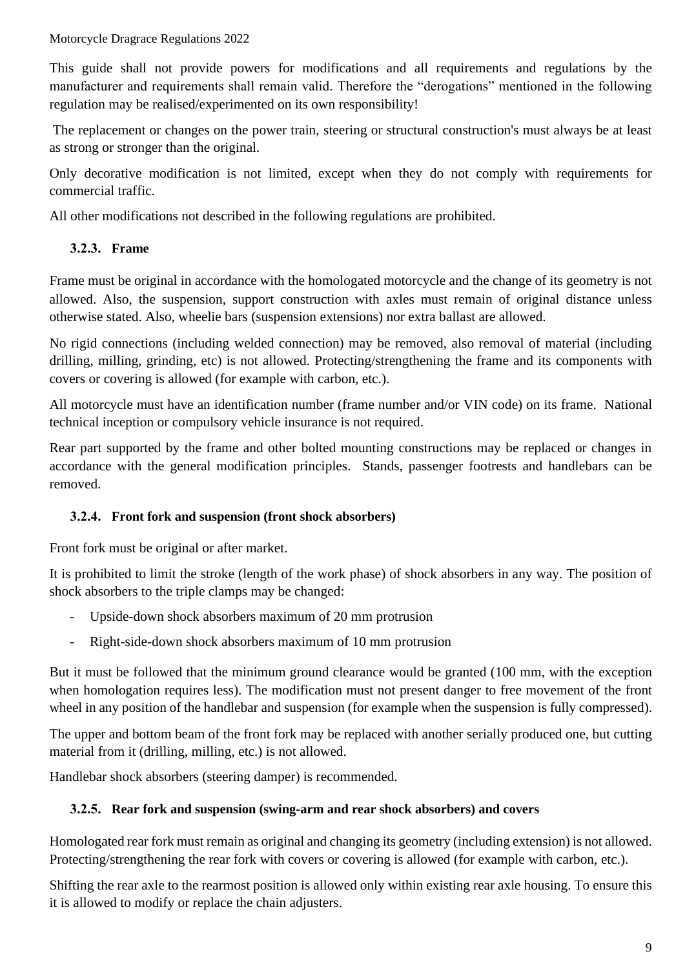This guide shall not provide powers for modifications and all requirements and regulations by the manufacturer and requirements shall remain valid. Therefore the "derogations" mentioned in the following regulation may be realised/experimented on its own responsibility!

The replacement or changes on the power train, steering or structural construction's must always be at least as strong or stronger than the original.

Only decorative modification is not limited, except when they do not comply with requirements for commercial traffic.

All other modifications not described in the following regulations are prohibited.

## **3.2.3. Frame**

Frame must be original in accordance with the homologated motorcycle and the change of its geometry is not allowed. Also, the suspension, support construction with axles must remain of original distance unless otherwise stated. Also, wheelie bars (suspension extensions) nor extra ballast are allowed.

No rigid connections (including welded connection) may be removed, also removal of material (including drilling, milling, grinding, etc) is not allowed. Protecting/strengthening the frame and its components with covers or covering is allowed (for example with carbon, etc.).

All motorcycle must have an identification number (frame number and/or VIN code) on its frame. National technical inception or compulsory vehicle insurance is not required.

Rear part supported by the frame and other bolted mounting constructions may be replaced or changes in accordance with the general modification principles. Stands, passenger footrests and handlebars can be removed.

### **3.2.4. Front fork and suspension (front shock absorbers)**

Front fork must be original or after market.

It is prohibited to limit the stroke (length of the work phase) of shock absorbers in any way. The position of shock absorbers to the triple clamps may be changed:

- Upside-down shock absorbers maximum of 20 mm protrusion
- Right-side-down shock absorbers maximum of 10 mm protrusion

But it must be followed that the minimum ground clearance would be granted (100 mm, with the exception when homologation requires less). The modification must not present danger to free movement of the front wheel in any position of the handlebar and suspension (for example when the suspension is fully compressed).

The upper and bottom beam of the front fork may be replaced with another serially produced one, but cutting material from it (drilling, milling, etc.) is not allowed.

Handlebar shock absorbers (steering damper) is recommended.

### **3.2.5. Rear fork and suspension (swing-arm and rear shock absorbers) and covers**

Homologated rear fork must remain as original and changing its geometry (including extension) is not allowed. Protecting/strengthening the rear fork with covers or covering is allowed (for example with carbon, etc.).

Shifting the rear axle to the rearmost position is allowed only within existing rear axle housing. To ensure this it is allowed to modify or replace the chain adjusters.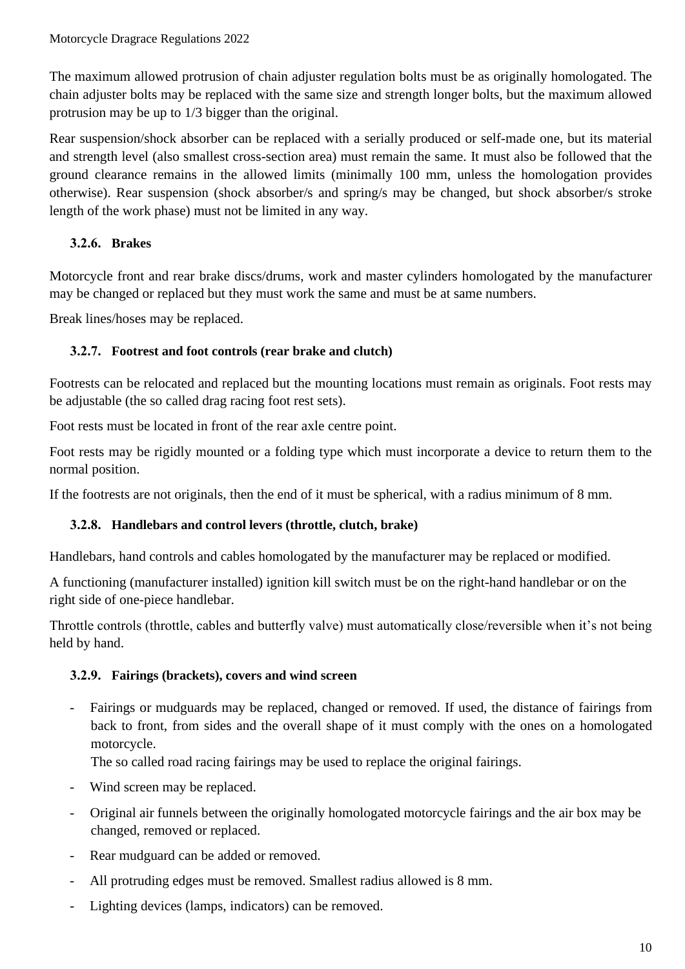The maximum allowed protrusion of chain adjuster regulation bolts must be as originally homologated. The chain adjuster bolts may be replaced with the same size and strength longer bolts, but the maximum allowed protrusion may be up to 1/3 bigger than the original.

Rear suspension/shock absorber can be replaced with a serially produced or self-made one, but its material and strength level (also smallest cross-section area) must remain the same. It must also be followed that the ground clearance remains in the allowed limits (minimally 100 mm, unless the homologation provides otherwise). Rear suspension (shock absorber/s and spring/s may be changed, but shock absorber/s stroke length of the work phase) must not be limited in any way.

## **3.2.6. Brakes**

Motorcycle front and rear brake discs/drums, work and master cylinders homologated by the manufacturer may be changed or replaced but they must work the same and must be at same numbers.

Break lines/hoses may be replaced.

### **3.2.7. Footrest and foot controls (rear brake and clutch)**

Footrests can be relocated and replaced but the mounting locations must remain as originals. Foot rests may be adjustable (the so called drag racing foot rest sets).

Foot rests must be located in front of the rear axle centre point.

Foot rests may be rigidly mounted or a folding type which must incorporate a device to return them to the normal position.

If the footrests are not originals, then the end of it must be spherical, with a radius minimum of 8 mm.

### **3.2.8. Handlebars and control levers (throttle, clutch, brake)**

Handlebars, hand controls and cables homologated by the manufacturer may be replaced or modified.

A functioning (manufacturer installed) ignition kill switch must be on the right-hand handlebar or on the right side of one-piece handlebar.

Throttle controls (throttle, cables and butterfly valve) must automatically close/reversible when it's not being held by hand.

### **3.2.9. Fairings (brackets), covers and wind screen**

- Fairings or mudguards may be replaced, changed or removed. If used, the distance of fairings from back to front, from sides and the overall shape of it must comply with the ones on a homologated motorcycle.

The so called road racing fairings may be used to replace the original fairings.

- Wind screen may be replaced.
- Original air funnels between the originally homologated motorcycle fairings and the air box may be changed, removed or replaced.
- Rear mudguard can be added or removed.
- All protruding edges must be removed. Smallest radius allowed is 8 mm.
- Lighting devices (lamps, indicators) can be removed.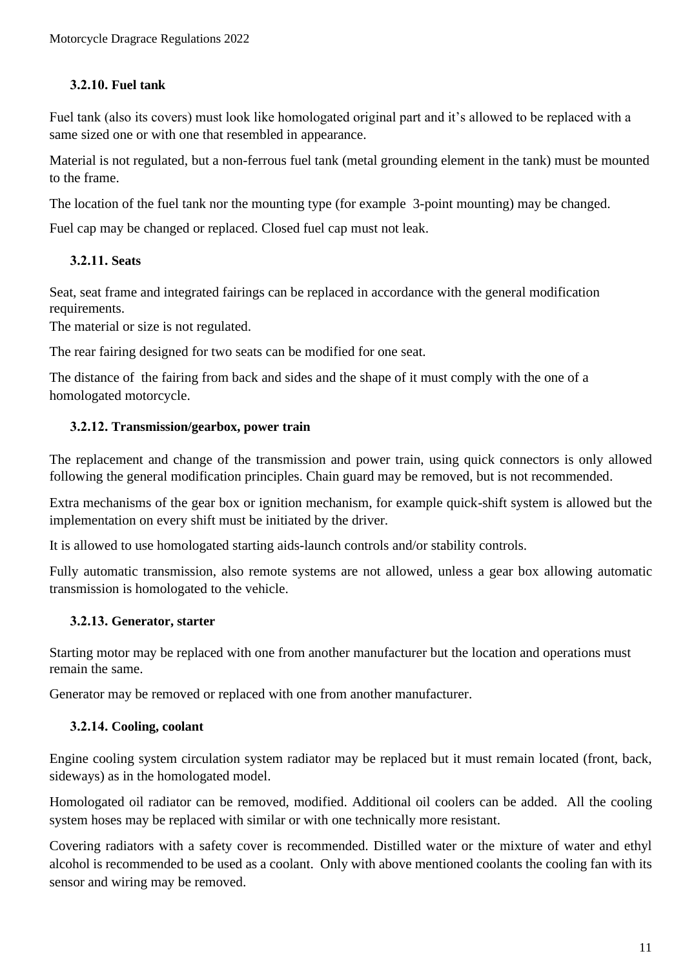#### **3.2.10. Fuel tank**

Fuel tank (also its covers) must look like homologated original part and it's allowed to be replaced with a same sized one or with one that resembled in appearance.

Material is not regulated, but a non-ferrous fuel tank (metal grounding element in the tank) must be mounted to the frame.

The location of the fuel tank nor the mounting type (for example 3-point mounting) may be changed.

Fuel cap may be changed or replaced. Closed fuel cap must not leak.

### **3.2.11. Seats**

Seat, seat frame and integrated fairings can be replaced in accordance with the general modification requirements.

The material or size is not regulated.

The rear fairing designed for two seats can be modified for one seat.

The distance of the fairing from back and sides and the shape of it must comply with the one of a homologated motorcycle.

#### **3.2.12. Transmission/gearbox, power train**

The replacement and change of the transmission and power train, using quick connectors is only allowed following the general modification principles. Chain guard may be removed, but is not recommended.

Extra mechanisms of the gear box or ignition mechanism, for example quick-shift system is allowed but the implementation on every shift must be initiated by the driver.

It is allowed to use homologated starting aids-launch controls and/or stability controls.

Fully automatic transmission, also remote systems are not allowed, unless a gear box allowing automatic transmission is homologated to the vehicle.

#### **3.2.13. Generator, starter**

Starting motor may be replaced with one from another manufacturer but the location and operations must remain the same.

Generator may be removed or replaced with one from another manufacturer.

#### **3.2.14. Cooling, coolant**

Engine cooling system circulation system radiator may be replaced but it must remain located (front, back, sideways) as in the homologated model.

Homologated oil radiator can be removed, modified. Additional oil coolers can be added. All the cooling system hoses may be replaced with similar or with one technically more resistant.

Covering radiators with a safety cover is recommended. Distilled water or the mixture of water and ethyl alcohol is recommended to be used as a coolant. Only with above mentioned coolants the cooling fan with its sensor and wiring may be removed.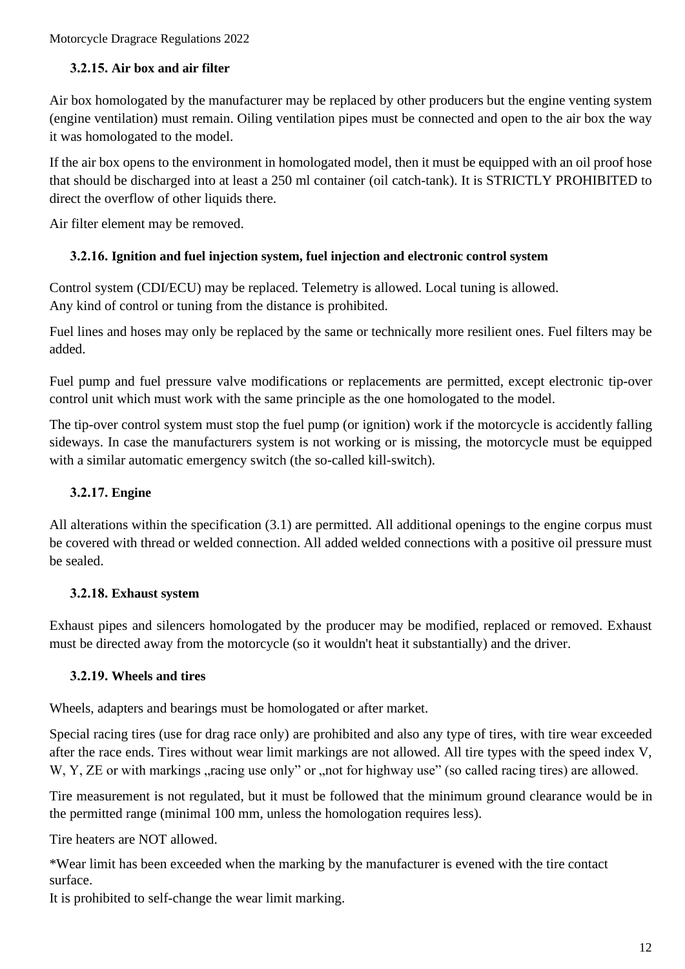#### **3.2.15. Air box and air filter**

Air box homologated by the manufacturer may be replaced by other producers but the engine venting system (engine ventilation) must remain. Oiling ventilation pipes must be connected and open to the air box the way it was homologated to the model.

If the air box opens to the environment in homologated model, then it must be equipped with an oil proof hose that should be discharged into at least a 250 ml container (oil catch-tank). It is STRICTLY PROHIBITED to direct the overflow of other liquids there.

Air filter element may be removed.

#### **3.2.16. Ignition and fuel injection system, fuel injection and electronic control system**

Control system (CDI/ECU) may be replaced. Telemetry is allowed. Local tuning is allowed. Any kind of control or tuning from the distance is prohibited.

Fuel lines and hoses may only be replaced by the same or technically more resilient ones. Fuel filters may be added.

Fuel pump and fuel pressure valve modifications or replacements are permitted, except electronic tip-over control unit which must work with the same principle as the one homologated to the model.

The tip-over control system must stop the fuel pump (or ignition) work if the motorcycle is accidently falling sideways. In case the manufacturers system is not working or is missing, the motorcycle must be equipped with a similar automatic emergency switch (the so-called kill-switch).

### **3.2.17. Engine**

All alterations within the specification (3.1) are permitted. All additional openings to the engine corpus must be covered with thread or welded connection. All added welded connections with a positive oil pressure must be sealed.

#### **3.2.18. Exhaust system**

Exhaust pipes and silencers homologated by the producer may be modified, replaced or removed. Exhaust must be directed away from the motorcycle (so it wouldn't heat it substantially) and the driver.

#### **3.2.19. Wheels and tires**

Wheels, adapters and bearings must be homologated or after market.

Special racing tires (use for drag race only) are prohibited and also any type of tires, with tire wear exceeded after the race ends. Tires without wear limit markings are not allowed. All tire types with the speed index V, W, Y, ZE or with markings , racing use only" or , not for highway use" (so called racing tires) are allowed.

Tire measurement is not regulated, but it must be followed that the minimum ground clearance would be in the permitted range (minimal 100 mm, unless the homologation requires less).

Tire heaters are NOT allowed.

\*Wear limit has been exceeded when the marking by the manufacturer is evened with the tire contact surface.

It is prohibited to self-change the wear limit marking.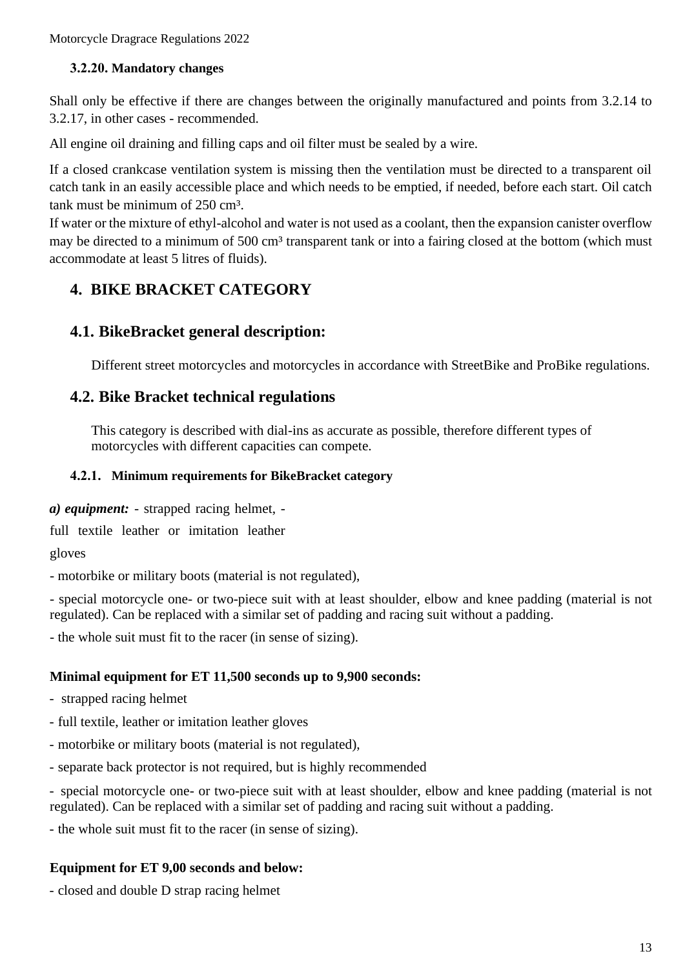#### **3.2.20. Mandatory changes**

Shall only be effective if there are changes between the originally manufactured and points from 3.2.14 to 3.2.17, in other cases - recommended.

All engine oil draining and filling caps and oil filter must be sealed by a wire.

If a closed crankcase ventilation system is missing then the ventilation must be directed to a transparent oil catch tank in an easily accessible place and which needs to be emptied, if needed, before each start. Oil catch tank must be minimum of 250 cm<sup>3</sup>.

If water or the mixture of ethyl-alcohol and water is not used as a coolant, then the expansion canister overflow may be directed to a minimum of 500 cm<sup>3</sup> transparent tank or into a fairing closed at the bottom (which must accommodate at least 5 litres of fluids).

# **4. BIKE BRACKET CATEGORY**

## **4.1. BikeBracket general description:**

Different street motorcycles and motorcycles in accordance with StreetBike and ProBike regulations.

## **4.2. Bike Bracket technical regulations**

This category is described with dial-ins as accurate as possible, therefore different types of motorcycles with different capacities can compete.

#### **4.2.1. Minimum requirements for BikeBracket category**

*a) equipment:* - strapped racing helmet, -

full textile leather or imitation leather

gloves

- motorbike or military boots (material is not regulated),

- special motorcycle one- or two-piece suit with at least shoulder, elbow and knee padding (material is not regulated). Can be replaced with a similar set of padding and racing suit without a padding.

- the whole suit must fit to the racer (in sense of sizing).

#### **Minimal equipment for ET 11,500 seconds up to 9,900 seconds:**

- strapped racing helmet

- full textile, leather or imitation leather gloves
- motorbike or military boots (material is not regulated),
- separate back protector is not required, but is highly recommended

- special motorcycle one- or two-piece suit with at least shoulder, elbow and knee padding (material is not regulated). Can be replaced with a similar set of padding and racing suit without a padding.

- the whole suit must fit to the racer (in sense of sizing).

#### **Equipment for ET 9,00 seconds and below:**

- closed and double D strap racing helmet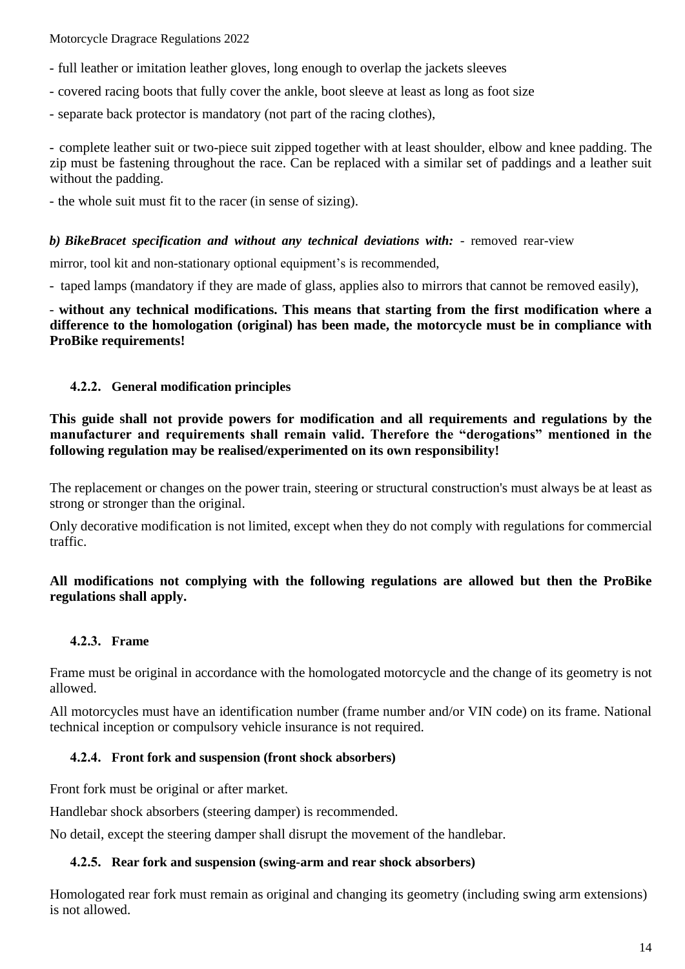- full leather or imitation leather gloves, long enough to overlap the jackets sleeves
- covered racing boots that fully cover the ankle, boot sleeve at least as long as foot size
- separate back protector is mandatory (not part of the racing clothes),

- complete leather suit or two-piece suit zipped together with at least shoulder, elbow and knee padding. The zip must be fastening throughout the race. Can be replaced with a similar set of paddings and a leather suit without the padding.

- the whole suit must fit to the racer (in sense of sizing).

#### *b) BikeBracet specification and without any technical deviations with:* - removed rear-view

mirror, tool kit and non-stationary optional equipment's is recommended,

- taped lamps (mandatory if they are made of glass, applies also to mirrors that cannot be removed easily),

- **without any technical modifications. This means that starting from the first modification where a difference to the homologation (original) has been made, the motorcycle must be in compliance with ProBike requirements!**

#### **4.2.2. General modification principles**

**This guide shall not provide powers for modification and all requirements and regulations by the manufacturer and requirements shall remain valid. Therefore the "derogations" mentioned in the following regulation may be realised/experimented on its own responsibility!**

The replacement or changes on the power train, steering or structural construction's must always be at least as strong or stronger than the original.

Only decorative modification is not limited, except when they do not comply with regulations for commercial traffic.

#### **All modifications not complying with the following regulations are allowed but then the ProBike regulations shall apply.**

#### **4.2.3. Frame**

Frame must be original in accordance with the homologated motorcycle and the change of its geometry is not allowed.

All motorcycles must have an identification number (frame number and/or VIN code) on its frame. National technical inception or compulsory vehicle insurance is not required.

#### **4.2.4. Front fork and suspension (front shock absorbers)**

Front fork must be original or after market.

Handlebar shock absorbers (steering damper) is recommended.

No detail, except the steering damper shall disrupt the movement of the handlebar.

#### **4.2.5. Rear fork and suspension (swing-arm and rear shock absorbers)**

Homologated rear fork must remain as original and changing its geometry (including swing arm extensions) is not allowed.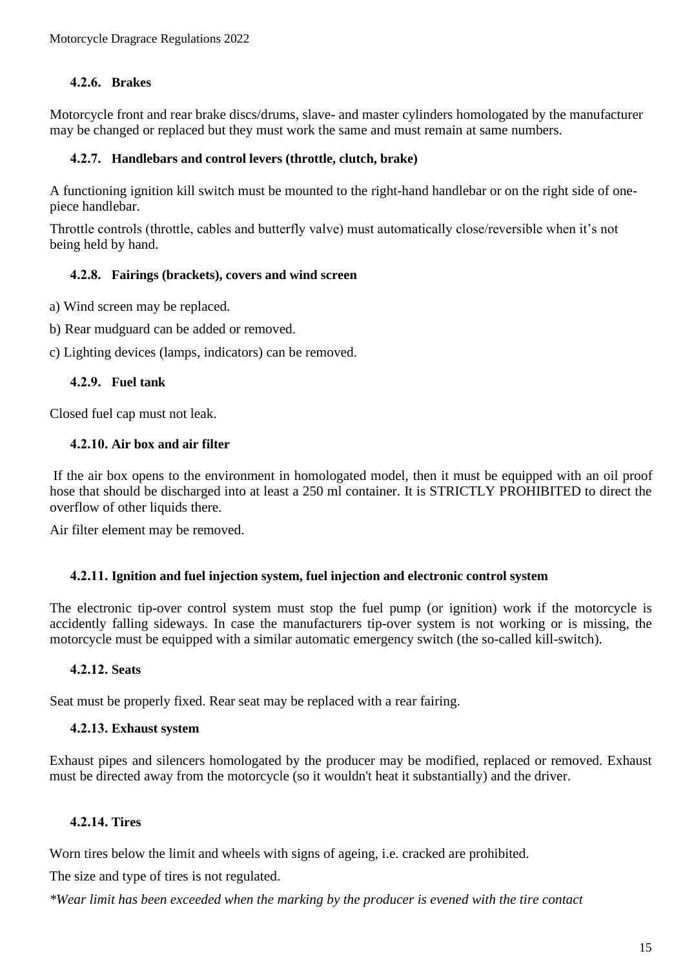### **4.2.6. Brakes**

Motorcycle front and rear brake discs/drums, slave- and master cylinders homologated by the manufacturer may be changed or replaced but they must work the same and must remain at same numbers.

#### **4.2.7. Handlebars and control levers (throttle, clutch, brake)**

A functioning ignition kill switch must be mounted to the right-hand handlebar or on the right side of onepiece handlebar.

Throttle controls (throttle, cables and butterfly valve) must automatically close/reversible when it's not being held by hand.

#### **4.2.8. Fairings (brackets), covers and wind screen**

a) Wind screen may be replaced.

b) Rear mudguard can be added or removed.

c) Lighting devices (lamps, indicators) can be removed.

#### **4.2.9. Fuel tank**

Closed fuel cap must not leak.

#### **4.2.10. Air box and air filter**

If the air box opens to the environment in homologated model, then it must be equipped with an oil proof hose that should be discharged into at least a 250 ml container. It is STRICTLY PROHIBITED to direct the overflow of other liquids there.

Air filter element may be removed.

#### **4.2.11. Ignition and fuel injection system, fuel injection and electronic control system**

The electronic tip-over control system must stop the fuel pump (or ignition) work if the motorcycle is accidently falling sideways. In case the manufacturers tip-over system is not working or is missing, the motorcycle must be equipped with a similar automatic emergency switch (the so-called kill-switch).

#### **4.2.12. Seats**

Seat must be properly fixed. Rear seat may be replaced with a rear fairing.

#### **4.2.13. Exhaust system**

Exhaust pipes and silencers homologated by the producer may be modified, replaced or removed. Exhaust must be directed away from the motorcycle (so it wouldn't heat it substantially) and the driver.

#### **4.2.14. Tires**

Worn tires below the limit and wheels with signs of ageing, i.e. cracked are prohibited.

The size and type of tires is not regulated.

*\*Wear limit has been exceeded when the marking by the producer is evened with the tire contact*